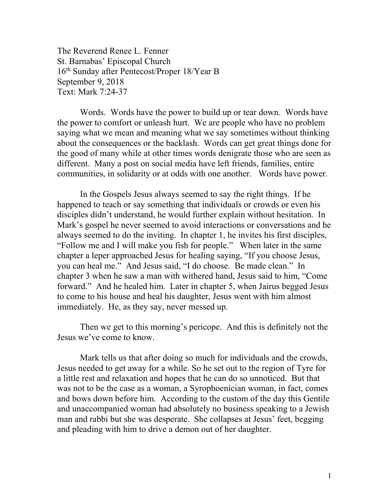The Reverend Renee L. Fenner St. Barnabas' Episcopal Church 16th Sunday after Pentecost/Proper 18/Year B September 9, 2018 Text: Mark 7:24-37

 Words. Words have the power to build up or tear down. Words have the power to comfort or unleash hurt. We are people who have no problem saying what we mean and meaning what we say sometimes without thinking about the consequences or the backlash. Words can get great things done for the good of many while at other times words denigrate those who are seen as different. Many a post on social media have left friends, families, entire communities, in solidarity or at odds with one another. Words have power.

 In the Gospels Jesus always seemed to say the right things. If he happened to teach or say something that individuals or crowds or even his disciples didn't understand, he would further explain without hesitation. In Mark's gospel he never seemed to avoid interactions or conversations and he always seemed to do the inviting. In chapter 1, he invites his first disciples, "Follow me and I will make you fish for people." When later in the same chapter a leper approached Jesus for healing saying, "If you choose Jesus, you can heal me." And Jesus said, "I do choose. Be made clean." In chapter 3 when he saw a man with withered hand, Jesus said to him, "Come forward." And he healed him. Later in chapter 5, when Jairus begged Jesus to come to his house and heal his daughter, Jesus went with him almost immediately. He, as they say, never messed up.

 Then we get to this morning's pericope. And this is definitely not the Jesus we've come to know.

Mark tells us that after doing so much for individuals and the crowds, Jesus needed to get away for a while. So he set out to the region of Tyre for a little rest and relaxation and hopes that he can do so unnoticed. But that was not to be the case as a woman, a Syrophoenician woman, in fact, comes and bows down before him. According to the custom of the day this Gentile and unaccompanied woman had absolutely no business speaking to a Jewish man and rabbi but she was desperate. She collapses at Jesus' feet, begging and pleading with him to drive a demon out of her daughter.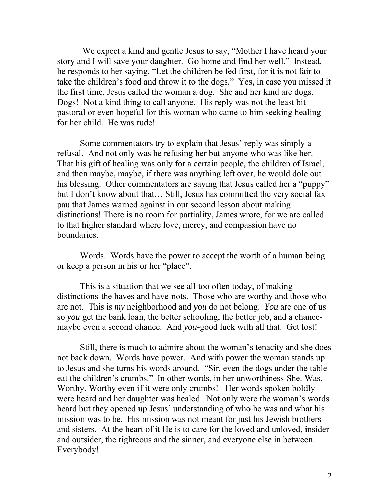We expect a kind and gentle Jesus to say, "Mother I have heard your story and I will save your daughter. Go home and find her well." Instead, he responds to her saying, "Let the children be fed first, for it is not fair to take the children's food and throw it to the dogs." Yes, in case you missed it the first time, Jesus called the woman a dog. She and her kind are dogs. Dogs! Not a kind thing to call anyone. His reply was not the least bit pastoral or even hopeful for this woman who came to him seeking healing for her child. He was rude!

Some commentators try to explain that Jesus' reply was simply a refusal. And not only was he refusing her but anyone who was like her. That his gift of healing was only for a certain people, the children of Israel, and then maybe, maybe, if there was anything left over, he would dole out his blessing. Other commentators are saying that Jesus called her a "puppy" but I don't know about that… Still, Jesus has committed the very social fax pau that James warned against in our second lesson about making distinctions! There is no room for partiality, James wrote, for we are called to that higher standard where love, mercy, and compassion have no boundaries.

Words. Words have the power to accept the worth of a human being or keep a person in his or her "place".

This is a situation that we see all too often today, of making distinctions-the haves and have-nots. Those who are worthy and those who are not. This is *my* neighborhood and *you* do not belong. *You* are one of us so *you* get the bank loan, the better schooling, the better job, and a chancemaybe even a second chance. And *you*-good luck with all that. Get lost!

Still, there is much to admire about the woman's tenacity and she does not back down. Words have power. And with power the woman stands up to Jesus and she turns his words around. "Sir, even the dogs under the table eat the children's crumbs." In other words, in her unworthiness-She. Was. Worthy. Worthy even if it were only crumbs! Her words spoken boldly were heard and her daughter was healed. Not only were the woman's words heard but they opened up Jesus' understanding of who he was and what his mission was to be. His mission was not meant for just his Jewish brothers and sisters. At the heart of it He is to care for the loved and unloved, insider and outsider, the righteous and the sinner, and everyone else in between. Everybody!